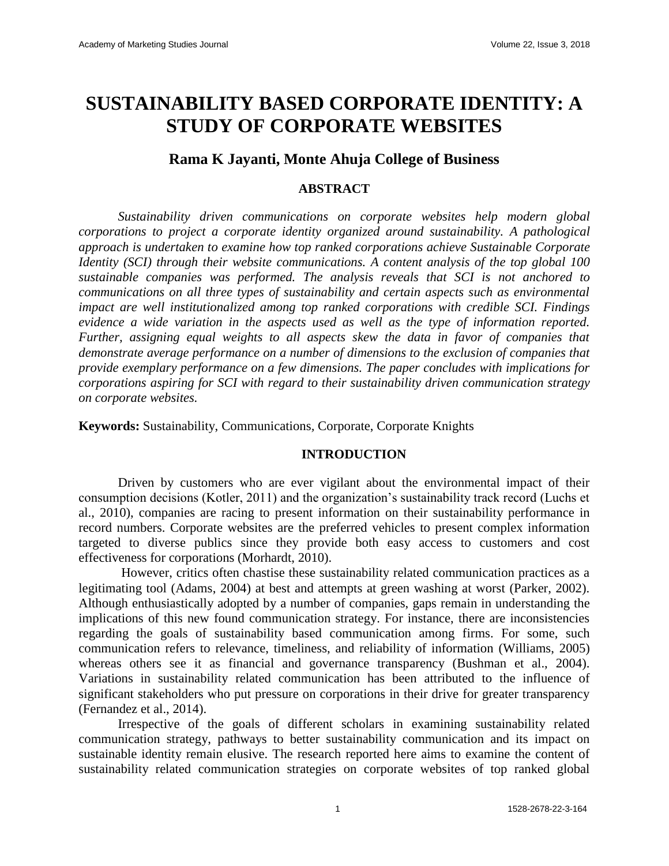# **SUSTAINABILITY BASED CORPORATE IDENTITY: A STUDY OF CORPORATE WEBSITES**

## **Rama K Jayanti, Monte Ahuja College of Business**

## **ABSTRACT**

*Sustainability driven communications on corporate websites help modern global corporations to project a corporate identity organized around sustainability. A pathological approach is undertaken to examine how top ranked corporations achieve Sustainable Corporate Identity (SCI) through their website communications. A content analysis of the top global 100 sustainable companies was performed. The analysis reveals that SCI is not anchored to communications on all three types of sustainability and certain aspects such as environmental impact are well institutionalized among top ranked corporations with credible SCI. Findings evidence a wide variation in the aspects used as well as the type of information reported. Further, assigning equal weights to all aspects skew the data in favor of companies that demonstrate average performance on a number of dimensions to the exclusion of companies that provide exemplary performance on a few dimensions. The paper concludes with implications for corporations aspiring for SCI with regard to their sustainability driven communication strategy on corporate websites.*

**Keywords:** Sustainability, Communications*,* Corporate, Corporate Knights

## **INTRODUCTION**

Driven by customers who are ever vigilant about the environmental impact of their consumption decisions (Kotler, 2011) and the organization's sustainability track record (Luchs et al., 2010), companies are racing to present information on their sustainability performance in record numbers. Corporate websites are the preferred vehicles to present complex information targeted to diverse publics since they provide both easy access to customers and cost effectiveness for corporations (Morhardt, 2010).

However, critics often chastise these sustainability related communication practices as a legitimating tool (Adams, 2004) at best and attempts at green washing at worst (Parker, 2002). Although enthusiastically adopted by a number of companies, gaps remain in understanding the implications of this new found communication strategy. For instance, there are inconsistencies regarding the goals of sustainability based communication among firms. For some, such communication refers to relevance, timeliness, and reliability of information (Williams, 2005) whereas others see it as financial and governance transparency (Bushman et al., 2004). Variations in sustainability related communication has been attributed to the influence of significant stakeholders who put pressure on corporations in their drive for greater transparency (Fernandez et al., 2014).

Irrespective of the goals of different scholars in examining sustainability related communication strategy, pathways to better sustainability communication and its impact on sustainable identity remain elusive. The research reported here aims to examine the content of sustainability related communication strategies on corporate websites of top ranked global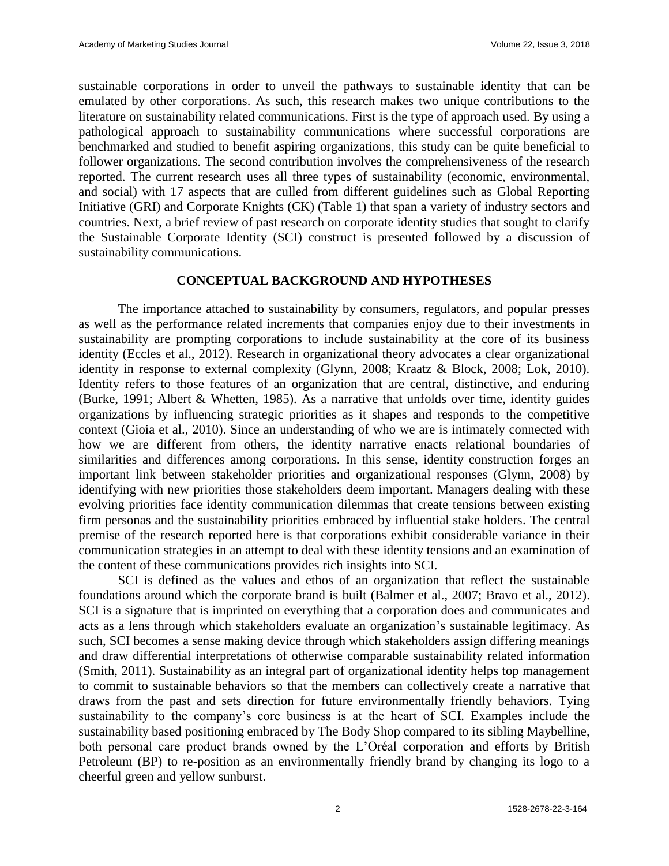sustainable corporations in order to unveil the pathways to sustainable identity that can be emulated by other corporations. As such, this research makes two unique contributions to the literature on sustainability related communications. First is the type of approach used. By using a pathological approach to sustainability communications where successful corporations are benchmarked and studied to benefit aspiring organizations, this study can be quite beneficial to follower organizations. The second contribution involves the comprehensiveness of the research reported. The current research uses all three types of sustainability (economic, environmental, and social) with 17 aspects that are culled from different guidelines such as Global Reporting Initiative (GRI) and Corporate Knights (CK) (Table 1) that span a variety of industry sectors and countries. Next, a brief review of past research on corporate identity studies that sought to clarify the Sustainable Corporate Identity (SCI) construct is presented followed by a discussion of sustainability communications.

#### **CONCEPTUAL BACKGROUND AND HYPOTHESES**

The importance attached to sustainability by consumers, regulators, and popular presses as well as the performance related increments that companies enjoy due to their investments in sustainability are prompting corporations to include sustainability at the core of its business identity (Eccles et al., 2012). Research in organizational theory advocates a clear organizational identity in response to external complexity (Glynn, 2008; Kraatz & Block, 2008; Lok, 2010). Identity refers to those features of an organization that are central, distinctive, and enduring (Burke, 1991; Albert & Whetten, 1985). As a narrative that unfolds over time, identity guides organizations by influencing strategic priorities as it shapes and responds to the competitive context (Gioia et al., 2010). Since an understanding of who we are is intimately connected with how we are different from others, the identity narrative enacts relational boundaries of similarities and differences among corporations. In this sense, identity construction forges an important link between stakeholder priorities and organizational responses (Glynn, 2008) by identifying with new priorities those stakeholders deem important. Managers dealing with these evolving priorities face identity communication dilemmas that create tensions between existing firm personas and the sustainability priorities embraced by influential stake holders. The central premise of the research reported here is that corporations exhibit considerable variance in their communication strategies in an attempt to deal with these identity tensions and an examination of the content of these communications provides rich insights into SCI.

SCI is defined as the values and ethos of an organization that reflect the sustainable foundations around which the corporate brand is built (Balmer et al., 2007; Bravo et al., 2012). SCI is a signature that is imprinted on everything that a corporation does and communicates and acts as a lens through which stakeholders evaluate an organization's sustainable legitimacy. As such, SCI becomes a sense making device through which stakeholders assign differing meanings and draw differential interpretations of otherwise comparable sustainability related information (Smith, 2011). Sustainability as an integral part of organizational identity helps top management to commit to sustainable behaviors so that the members can collectively create a narrative that draws from the past and sets direction for future environmentally friendly behaviors. Tying sustainability to the company's core business is at the heart of SCI. Examples include the sustainability based positioning embraced by The Body Shop compared to its sibling Maybelline, both personal care product brands owned by the L'Oréal corporation and efforts by British Petroleum (BP) to re-position as an environmentally friendly brand by changing its logo to a cheerful green and yellow sunburst.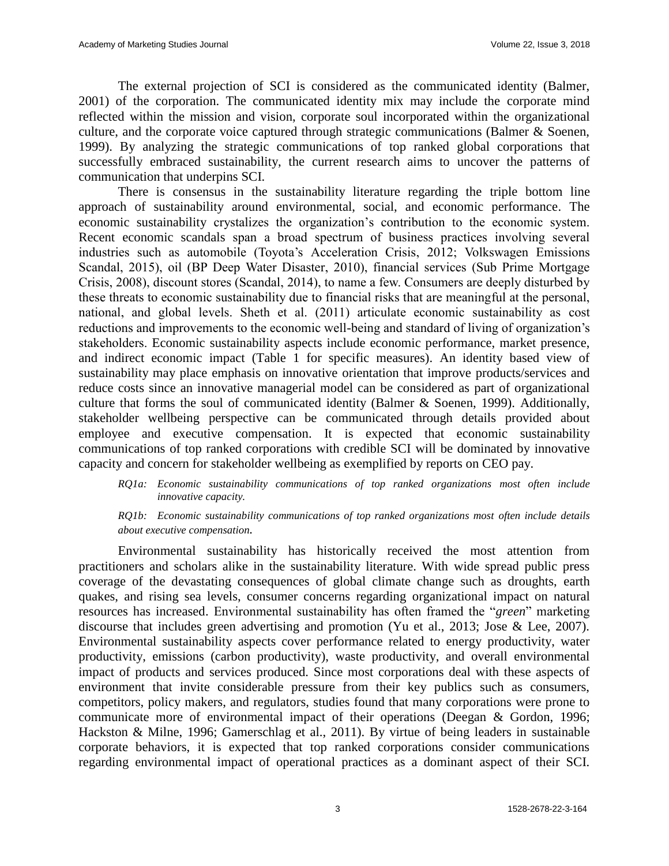The external projection of SCI is considered as the communicated identity (Balmer, 2001) of the corporation. The communicated identity mix may include the corporate mind reflected within the mission and vision, corporate soul incorporated within the organizational culture, and the corporate voice captured through strategic communications (Balmer & Soenen, 1999). By analyzing the strategic communications of top ranked global corporations that successfully embraced sustainability, the current research aims to uncover the patterns of communication that underpins SCI.

There is consensus in the sustainability literature regarding the triple bottom line approach of sustainability around environmental, social, and economic performance. The economic sustainability crystalizes the organization's contribution to the economic system. Recent economic scandals span a broad spectrum of business practices involving several industries such as automobile (Toyota's Acceleration Crisis, 2012; Volkswagen Emissions Scandal, 2015), oil (BP Deep Water Disaster, 2010), financial services (Sub Prime Mortgage Crisis, 2008), discount stores (Scandal, 2014), to name a few. Consumers are deeply disturbed by these threats to economic sustainability due to financial risks that are meaningful at the personal, national, and global levels. Sheth et al. (2011) articulate economic sustainability as cost reductions and improvements to the economic well-being and standard of living of organization's stakeholders. Economic sustainability aspects include economic performance, market presence, and indirect economic impact (Table 1 for specific measures). An identity based view of sustainability may place emphasis on innovative orientation that improve products/services and reduce costs since an innovative managerial model can be considered as part of organizational culture that forms the soul of communicated identity (Balmer & Soenen, 1999). Additionally, stakeholder wellbeing perspective can be communicated through details provided about employee and executive compensation. It is expected that economic sustainability communications of top ranked corporations with credible SCI will be dominated by innovative capacity and concern for stakeholder wellbeing as exemplified by reports on CEO pay.

#### *RQ1a: Economic sustainability communications of top ranked organizations most often include innovative capacity.*

*RQ1b: Economic sustainability communications of top ranked organizations most often include details about executive compensation.*

Environmental sustainability has historically received the most attention from practitioners and scholars alike in the sustainability literature. With wide spread public press coverage of the devastating consequences of global climate change such as droughts, earth quakes, and rising sea levels, consumer concerns regarding organizational impact on natural resources has increased. Environmental sustainability has often framed the "*green*" marketing discourse that includes green advertising and promotion (Yu et al., 2013; Jose & Lee, 2007). Environmental sustainability aspects cover performance related to energy productivity, water productivity, emissions (carbon productivity), waste productivity, and overall environmental impact of products and services produced. Since most corporations deal with these aspects of environment that invite considerable pressure from their key publics such as consumers, competitors, policy makers, and regulators, studies found that many corporations were prone to communicate more of environmental impact of their operations (Deegan & Gordon, 1996; Hackston & Milne, 1996; Gamerschlag et al., 2011). By virtue of being leaders in sustainable corporate behaviors, it is expected that top ranked corporations consider communications regarding environmental impact of operational practices as a dominant aspect of their SCI.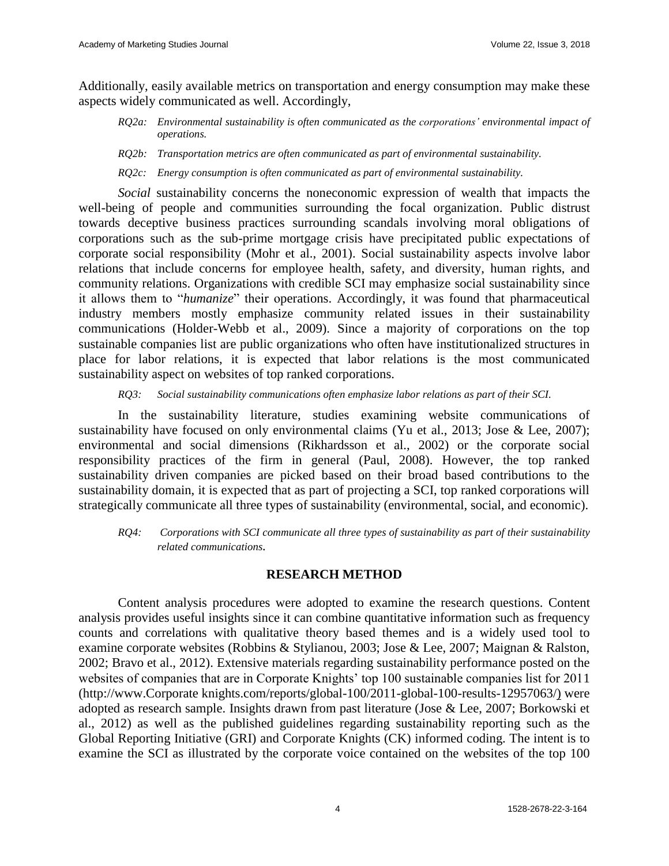Additionally, easily available metrics on transportation and energy consumption may make these aspects widely communicated as well. Accordingly,

- *RQ2a: Environmental sustainability is often communicated as the corporations' environmental impact of operations.*
- *RQ2b: Transportation metrics are often communicated as part of environmental sustainability.*

*RQ2c: Energy consumption is often communicated as part of environmental sustainability.*

*Social* sustainability concerns the noneconomic expression of wealth that impacts the well-being of people and communities surrounding the focal organization. Public distrust towards deceptive business practices surrounding scandals involving moral obligations of corporations such as the sub-prime mortgage crisis have precipitated public expectations of corporate social responsibility (Mohr et al., 2001). Social sustainability aspects involve labor relations that include concerns for employee health, safety, and diversity, human rights, and community relations. Organizations with credible SCI may emphasize social sustainability since it allows them to "*humanize*" their operations. Accordingly, it was found that pharmaceutical industry members mostly emphasize community related issues in their sustainability communications (Holder-Webb et al., 2009). Since a majority of corporations on the top sustainable companies list are public organizations who often have institutionalized structures in place for labor relations, it is expected that labor relations is the most communicated sustainability aspect on websites of top ranked corporations.

*RQ3: Social sustainability communications often emphasize labor relations as part of their SCI.*

In the sustainability literature, studies examining website communications of sustainability have focused on only environmental claims (Yu et al., 2013; Jose & Lee, 2007); environmental and social dimensions (Rikhardsson et al., 2002) or the corporate social responsibility practices of the firm in general (Paul, 2008). However, the top ranked sustainability driven companies are picked based on their broad based contributions to the sustainability domain, it is expected that as part of projecting a SCI, top ranked corporations will strategically communicate all three types of sustainability (environmental, social, and economic).

*RQ4: Corporations with SCI communicate all three types of sustainability as part of their sustainability related communications.*

#### **RESEARCH METHOD**

Content analysis procedures were adopted to examine the research questions. Content analysis provides useful insights since it can combine quantitative information such as frequency counts and correlations with qualitative theory based themes and is a widely used tool to examine corporate websites (Robbins & Stylianou, 2003; Jose & Lee, 2007; Maignan & Ralston, 2002; Bravo et al., 2012). Extensive materials regarding sustainability performance posted on the websites of companies that are in Corporate Knights' top 100 sustainable companies list for 2011 (http://www.Corporate knights.com/reports/global-100/2011-global-100-results-12957063/) were adopted as research sample. Insights drawn from past literature (Jose & Lee, 2007; Borkowski et al., 2012) as well as the published guidelines regarding sustainability reporting such as the Global Reporting Initiative (GRI) and Corporate Knights (CK) informed coding. The intent is to examine the SCI as illustrated by the corporate voice contained on the websites of the top 100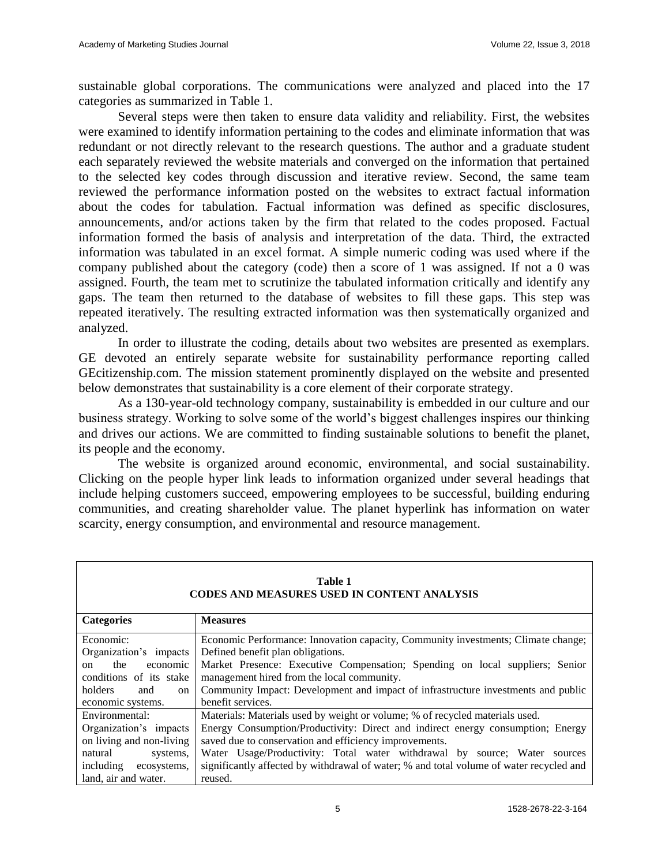sustainable global corporations. The communications were analyzed and placed into the 17 categories as summarized in Table 1.

Several steps were then taken to ensure data validity and reliability. First, the websites were examined to identify information pertaining to the codes and eliminate information that was redundant or not directly relevant to the research questions. The author and a graduate student each separately reviewed the website materials and converged on the information that pertained to the selected key codes through discussion and iterative review. Second, the same team reviewed the performance information posted on the websites to extract factual information about the codes for tabulation. Factual information was defined as specific disclosures, announcements, and/or actions taken by the firm that related to the codes proposed. Factual information formed the basis of analysis and interpretation of the data. Third, the extracted information was tabulated in an excel format. A simple numeric coding was used where if the company published about the category (code) then a score of 1 was assigned. If not a 0 was assigned. Fourth, the team met to scrutinize the tabulated information critically and identify any gaps. The team then returned to the database of websites to fill these gaps. This step was repeated iteratively. The resulting extracted information was then systematically organized and analyzed.

In order to illustrate the coding, details about two websites are presented as exemplars. GE devoted an entirely separate website for sustainability performance reporting called GEcitizenship.com. The mission statement prominently displayed on the website and presented below demonstrates that sustainability is a core element of their corporate strategy.

As a 130-year-old technology company, sustainability is embedded in our culture and our business strategy. Working to solve some of the world's biggest challenges inspires our thinking and drives our actions. We are committed to finding sustainable solutions to benefit the planet, its people and the economy.

The website is organized around economic, environmental, and social sustainability. Clicking on the people hyper link leads to information organized under several headings that include helping customers succeed, empowering employees to be successful, building enduring communities, and creating shareholder value. The planet hyperlink has information on water scarcity, energy consumption, and environmental and resource management.

| <b>Table 1</b><br><b>CODES AND MEASURES USED IN CONTENT ANALYSIS</b> |                                                                                                                            |  |  |  |  |
|----------------------------------------------------------------------|----------------------------------------------------------------------------------------------------------------------------|--|--|--|--|
| <b>Categories</b>                                                    | <b>Measures</b>                                                                                                            |  |  |  |  |
| Economic:<br>Organization's impacts                                  | Economic Performance: Innovation capacity, Community investments; Climate change;<br>Defined benefit plan obligations.     |  |  |  |  |
| the<br>economic<br>on<br>conditions of its stake                     | Market Presence: Executive Compensation; Spending on local suppliers; Senior<br>management hired from the local community. |  |  |  |  |
| holders<br>and<br>on<br>economic systems.                            | Community Impact: Development and impact of infrastructure investments and public<br>benefit services.                     |  |  |  |  |
| Environmental:                                                       | Materials: Materials used by weight or volume; % of recycled materials used.                                               |  |  |  |  |
| Organization's impacts                                               | Energy Consumption/Productivity: Direct and indirect energy consumption; Energy                                            |  |  |  |  |
| on living and non-living                                             | saved due to conservation and efficiency improvements.                                                                     |  |  |  |  |
| natural<br>systems,                                                  | Water Usage/Productivity: Total water withdrawal by source; Water sources                                                  |  |  |  |  |
| including ecosystems,                                                | significantly affected by withdrawal of water; % and total volume of water recycled and                                    |  |  |  |  |
| land, air and water.                                                 | reused.                                                                                                                    |  |  |  |  |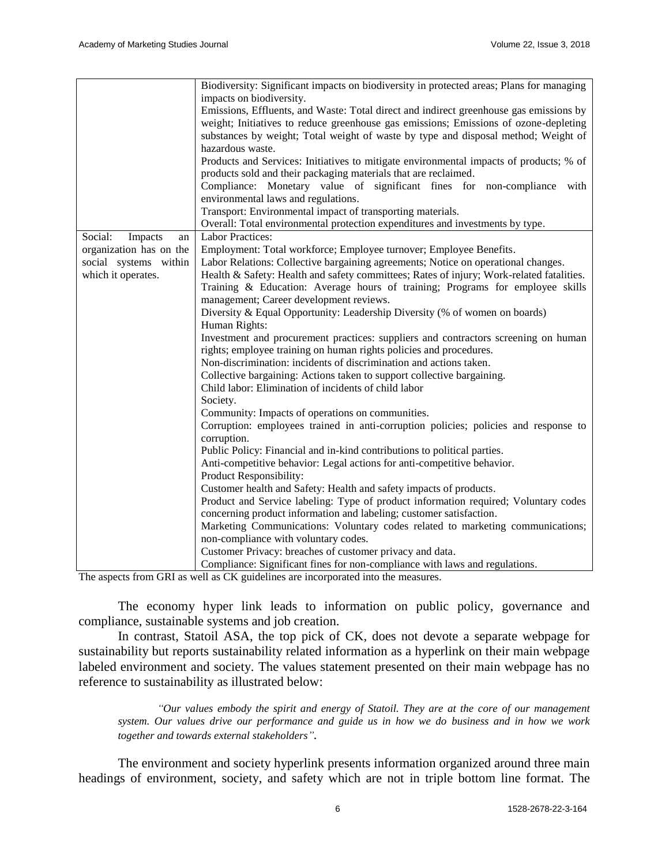|                          | Biodiversity: Significant impacts on biodiversity in protected areas; Plans for managing |
|--------------------------|------------------------------------------------------------------------------------------|
|                          | impacts on biodiversity.                                                                 |
|                          | Emissions, Effluents, and Waste: Total direct and indirect greenhouse gas emissions by   |
|                          | weight; Initiatives to reduce greenhouse gas emissions; Emissions of ozone-depleting     |
|                          | substances by weight; Total weight of waste by type and disposal method; Weight of       |
|                          | hazardous waste.                                                                         |
|                          | Products and Services: Initiatives to mitigate environmental impacts of products; % of   |
|                          |                                                                                          |
|                          | products sold and their packaging materials that are reclaimed.                          |
|                          | Compliance: Monetary value of significant fines for non-compliance with                  |
|                          | environmental laws and regulations.                                                      |
|                          | Transport: Environmental impact of transporting materials.                               |
|                          | Overall: Total environmental protection expenditures and investments by type.            |
| Social:<br>Impacts<br>an | <b>Labor Practices:</b>                                                                  |
| organization has on the  | Employment: Total workforce; Employee turnover; Employee Benefits.                       |
| social systems within    | Labor Relations: Collective bargaining agreements; Notice on operational changes.        |
| which it operates.       | Health & Safety: Health and safety committees; Rates of injury; Work-related fatalities. |
|                          | Training & Education: Average hours of training; Programs for employee skills            |
|                          | management; Career development reviews.                                                  |
|                          | Diversity & Equal Opportunity: Leadership Diversity (% of women on boards)               |
|                          | Human Rights:                                                                            |
|                          | Investment and procurement practices: suppliers and contractors screening on human       |
|                          | rights; employee training on human rights policies and procedures.                       |
|                          | Non-discrimination: incidents of discrimination and actions taken.                       |
|                          | Collective bargaining: Actions taken to support collective bargaining.                   |
|                          | Child labor: Elimination of incidents of child labor                                     |
|                          | Society.                                                                                 |
|                          | Community: Impacts of operations on communities.                                         |
|                          | Corruption: employees trained in anti-corruption policies; policies and response to      |
|                          | corruption.                                                                              |
|                          | Public Policy: Financial and in-kind contributions to political parties.                 |
|                          | Anti-competitive behavior: Legal actions for anti-competitive behavior.                  |
|                          | Product Responsibility:                                                                  |
|                          | Customer health and Safety: Health and safety impacts of products.                       |
|                          | Product and Service labeling: Type of product information required; Voluntary codes      |
|                          | concerning product information and labeling; customer satisfaction.                      |
|                          | Marketing Communications: Voluntary codes related to marketing communications;           |
|                          |                                                                                          |
|                          | non-compliance with voluntary codes.                                                     |
|                          | Customer Privacy: breaches of customer privacy and data.                                 |
|                          | Compliance: Significant fines for non-compliance with laws and regulations.              |

The aspects from GRI as well as CK guidelines are incorporated into the measures.

The economy hyper link leads to information on public policy, governance and compliance, sustainable systems and job creation.

In contrast, Statoil ASA, the top pick of CK, does not devote a separate webpage for sustainability but reports sustainability related information as a hyperlink on their main webpage labeled environment and society. The values statement presented on their main webpage has no reference to sustainability as illustrated below:

*"Our values embody the spirit and energy of Statoil. They are at the core of our management system. Our values drive our performance and guide us in how we do business and in how we work together and towards external stakeholders".*

The environment and society hyperlink presents information organized around three main headings of environment, society, and safety which are not in triple bottom line format. The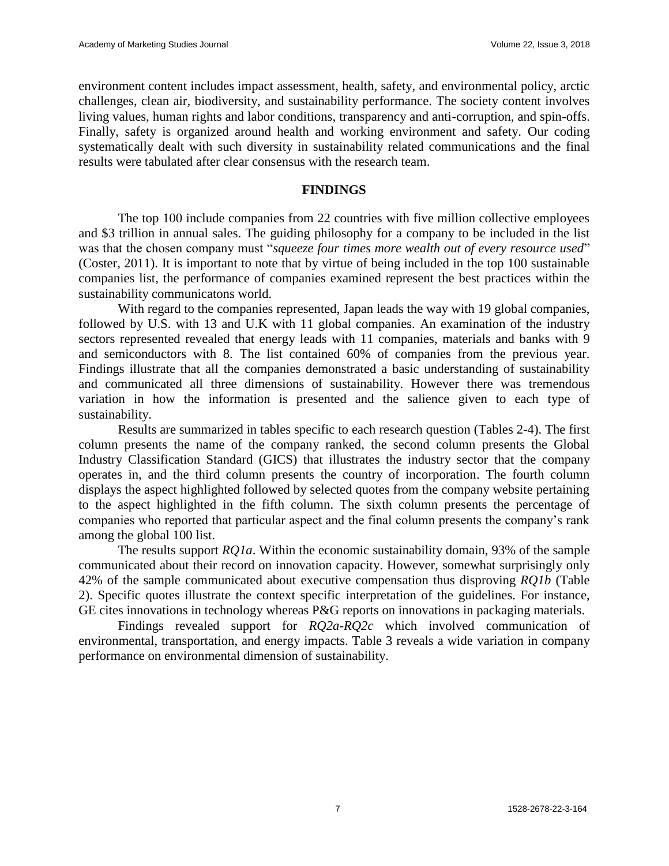environment content includes impact assessment, health, safety, and environmental policy, arctic challenges, clean air, biodiversity, and sustainability performance. The society content involves living values, human rights and labor conditions, transparency and anti-corruption, and spin-offs. Finally, safety is organized around health and working environment and safety. Our coding systematically dealt with such diversity in sustainability related communications and the final results were tabulated after clear consensus with the research team.

#### **FINDINGS**

The top 100 include companies from 22 countries with five million collective employees and \$3 trillion in annual sales. The guiding philosophy for a company to be included in the list was that the chosen company must "*squeeze four times more wealth out of every resource used*" (Coster, 2011). It is important to note that by virtue of being included in the top 100 sustainable companies list, the performance of companies examined represent the best practices within the sustainability communicatons world.

With regard to the companies represented, Japan leads the way with 19 global companies, followed by U.S. with 13 and U.K with 11 global companies. An examination of the industry sectors represented revealed that energy leads with 11 companies, materials and banks with 9 and semiconductors with 8. The list contained 60% of companies from the previous year. Findings illustrate that all the companies demonstrated a basic understanding of sustainability and communicated all three dimensions of sustainability. However there was tremendous variation in how the information is presented and the salience given to each type of sustainability.

Results are summarized in tables specific to each research question (Tables 2-4). The first column presents the name of the company ranked, the second column presents the Global Industry Classification Standard (GICS) that illustrates the industry sector that the company operates in, and the third column presents the country of incorporation. The fourth column displays the aspect highlighted followed by selected quotes from the company website pertaining to the aspect highlighted in the fifth column. The sixth column presents the percentage of companies who reported that particular aspect and the final column presents the company's rank among the global 100 list.

The results support *RQ1a*. Within the economic sustainability domain, 93% of the sample communicated about their record on innovation capacity. However, somewhat surprisingly only 42% of the sample communicated about executive compensation thus disproving *RQ1b* (Table 2). Specific quotes illustrate the context specific interpretation of the guidelines. For instance, GE cites innovations in technology whereas P&G reports on innovations in packaging materials.

Findings revealed support for *RQ2a-RQ2c* which involved communication of environmental, transportation, and energy impacts. Table 3 reveals a wide variation in company performance on environmental dimension of sustainability.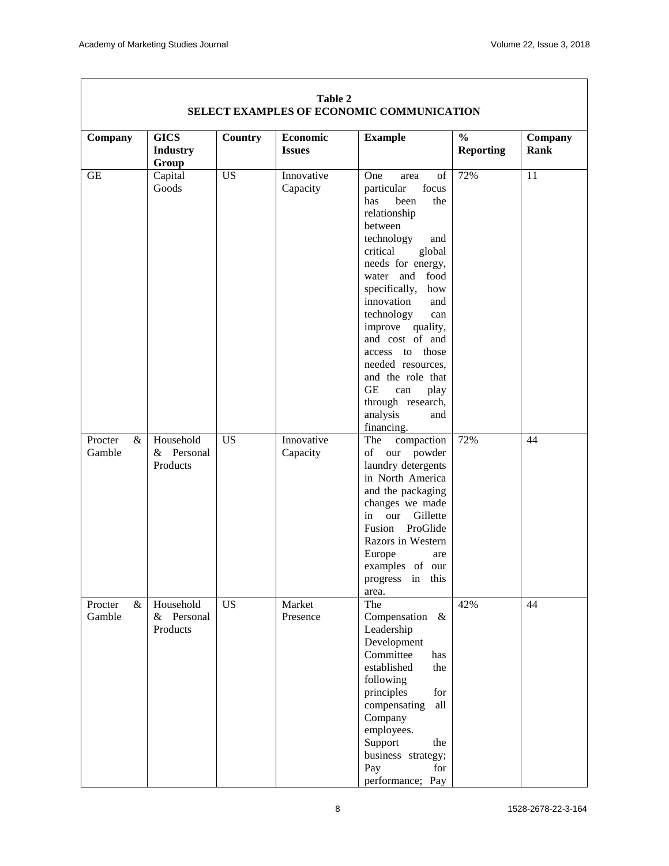| Company                   | <b>GICS</b><br><b>Industry</b>           | <b>Country</b>  | <b>Economic</b><br><b>Issues</b> | <b>Example</b>                                                                                                                                                                                                                                                                                                                                                                                                  | $\frac{0}{0}$<br><b>Reporting</b> | Company<br>Rank |
|---------------------------|------------------------------------------|-----------------|----------------------------------|-----------------------------------------------------------------------------------------------------------------------------------------------------------------------------------------------------------------------------------------------------------------------------------------------------------------------------------------------------------------------------------------------------------------|-----------------------------------|-----------------|
| <b>GE</b>                 | Group<br>Capital<br>Goods                | $\overline{US}$ | Innovative<br>Capacity           | One<br>of<br>area<br>focus<br>particular<br>been<br>the<br>has<br>relationship<br>between<br>technology<br>and<br>global<br>critical<br>needs for energy,<br>and food<br>water<br>specifically,<br>how<br>innovation<br>and<br>technology<br>can<br>improve quality,<br>and cost of and<br>access to those<br>needed resources,<br>and the role that<br>$\operatorname{GE}$<br>play<br>can<br>through research, | 72%                               | $\overline{11}$ |
| Procter<br>$\&$<br>Gamble | Household<br>& Personal<br>Products      | <b>US</b>       | Innovative<br>Capacity           | analysis<br>and<br>financing.<br>The<br>compaction<br>of<br>our<br>powder<br>laundry detergents<br>in North America<br>and the packaging<br>changes we made<br>in<br>Gillette<br>our<br>ProGlide<br>Fusion<br>Razors in Western<br>Europe<br>are<br>examples of our<br>progress<br>in this<br>area.                                                                                                             | 72%                               | 44              |
| Procter<br>Gamble         | & Household<br>Personal<br>&<br>Products | <b>US</b>       | Market<br>Presence               | The<br>Compensation<br>$\&$<br>Leadership<br>Development<br>Committee<br>has<br>established<br>the<br>following<br>principles<br>for<br>compensating<br>all<br>Company<br>employees.<br>Support<br>the<br>business strategy;<br>Pay<br>for<br>performance; Pay                                                                                                                                                  | 42%                               | 44              |

#### **Table 2 SELECT EXAMPLES OF ECONOMIC COMMUNICATION**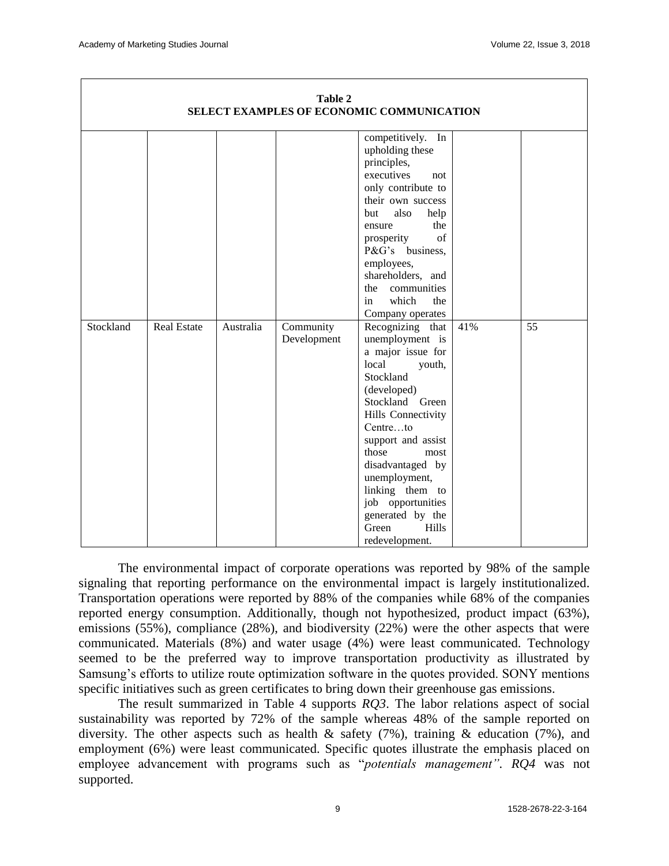| <b>Table 2</b><br>SELECT EXAMPLES OF ECONOMIC COMMUNICATION |                    |           |                          |                                                                                                                                                                                                                                                                                                                                          |     |    |
|-------------------------------------------------------------|--------------------|-----------|--------------------------|------------------------------------------------------------------------------------------------------------------------------------------------------------------------------------------------------------------------------------------------------------------------------------------------------------------------------------------|-----|----|
|                                                             |                    |           |                          |                                                                                                                                                                                                                                                                                                                                          |     |    |
|                                                             |                    |           |                          | competitively. In<br>upholding these<br>principles,<br>executives<br>not<br>only contribute to<br>their own success<br>also<br>but<br>help<br>the<br>ensure<br>of<br>prosperity<br>P&G's<br>business,<br>employees,<br>shareholders, and<br>communities<br>the<br>which<br>the<br>in                                                     |     |    |
|                                                             |                    |           |                          | Company operates                                                                                                                                                                                                                                                                                                                         |     |    |
| Stockland                                                   | <b>Real Estate</b> | Australia | Community<br>Development | Recognizing that<br>unemployment is<br>a major issue for<br>local<br>youth,<br>Stockland<br>(developed)<br>Stockland Green<br>Hills Connectivity<br>Centreto<br>support and assist<br>those<br>most<br>disadvantaged by<br>unemployment,<br>linking them to<br>job opportunities<br>generated by the<br>Hills<br>Green<br>redevelopment. | 41% | 55 |

The environmental impact of corporate operations was reported by 98% of the sample signaling that reporting performance on the environmental impact is largely institutionalized. Transportation operations were reported by 88% of the companies while 68% of the companies reported energy consumption. Additionally, though not hypothesized, product impact (63%), emissions (55%), compliance (28%), and biodiversity (22%) were the other aspects that were communicated. Materials (8%) and water usage (4%) were least communicated. Technology seemed to be the preferred way to improve transportation productivity as illustrated by Samsung's efforts to utilize route optimization software in the quotes provided. SONY mentions specific initiatives such as green certificates to bring down their greenhouse gas emissions.

The result summarized in Table 4 supports *RQ3*. The labor relations aspect of social sustainability was reported by 72% of the sample whereas 48% of the sample reported on diversity. The other aspects such as health  $\&$  safety (7%), training  $\&$  education (7%), and employment (6%) were least communicated. Specific quotes illustrate the emphasis placed on employee advancement with programs such as "*potentials management". RQ4* was not supported.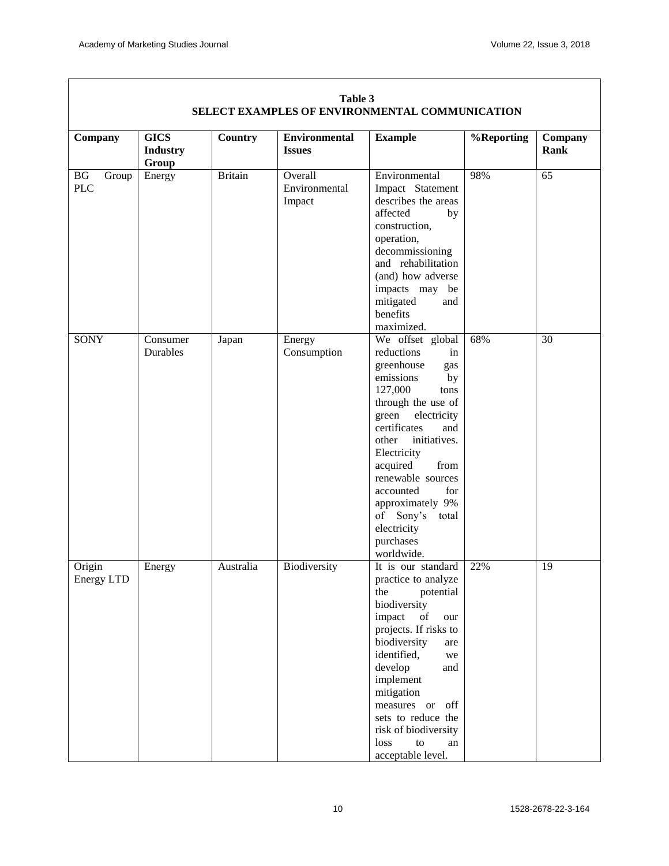| Company                     | <b>GICS</b><br><b>Industry</b><br>Group | Country        | <b>Environmental</b><br><b>Issues</b> | <b>Example</b>                                                                                                                                                                                                                                                                                                                                                | %Reporting | Company<br>Rank |
|-----------------------------|-----------------------------------------|----------------|---------------------------------------|---------------------------------------------------------------------------------------------------------------------------------------------------------------------------------------------------------------------------------------------------------------------------------------------------------------------------------------------------------------|------------|-----------------|
| BG<br>Group<br><b>PLC</b>   | Energy                                  | <b>Britain</b> | Overall<br>Environmental<br>Impact    | Environmental<br>Impact Statement<br>describes the areas<br>affected<br>by<br>construction,<br>operation,<br>decommissioning<br>and rehabilitation<br>(and) how adverse<br>impacts may be<br>mitigated<br>and<br>benefits<br>maximized.                                                                                                                       | 98%        | 65              |
| <b>SONY</b>                 | Consumer<br><b>Durables</b>             | Japan          | Energy<br>Consumption                 | We offset global<br>reductions<br>in<br>greenhouse<br>gas<br>emissions<br>by<br>127,000<br>tons<br>through the use of<br>green<br>electricity<br>certificates<br>and<br>initiatives.<br>other<br>Electricity<br>acquired<br>from<br>renewable sources<br>for<br>accounted<br>approximately 9%<br>of Sony's<br>total<br>electricity<br>purchases<br>worldwide. | 68%        | 30              |
| Origin<br><b>Energy LTD</b> | Energy                                  | Australia      | Biodiversity                          | It is our standard<br>practice to analyze<br>the<br>potential<br>biodiversity<br>impact<br>of<br>our<br>projects. If risks to<br>biodiversity<br>are<br>identified,<br>we<br>develop<br>and<br>implement<br>mitigation<br>off<br>measures or<br>sets to reduce the<br>risk of biodiversity<br>loss<br>${\rm to}$<br>an<br>acceptable level.                   | 22%        | 19              |

#### **Table 3 SELECT EXAMPLES OF ENVIRONMENTAL COMMUNICATION**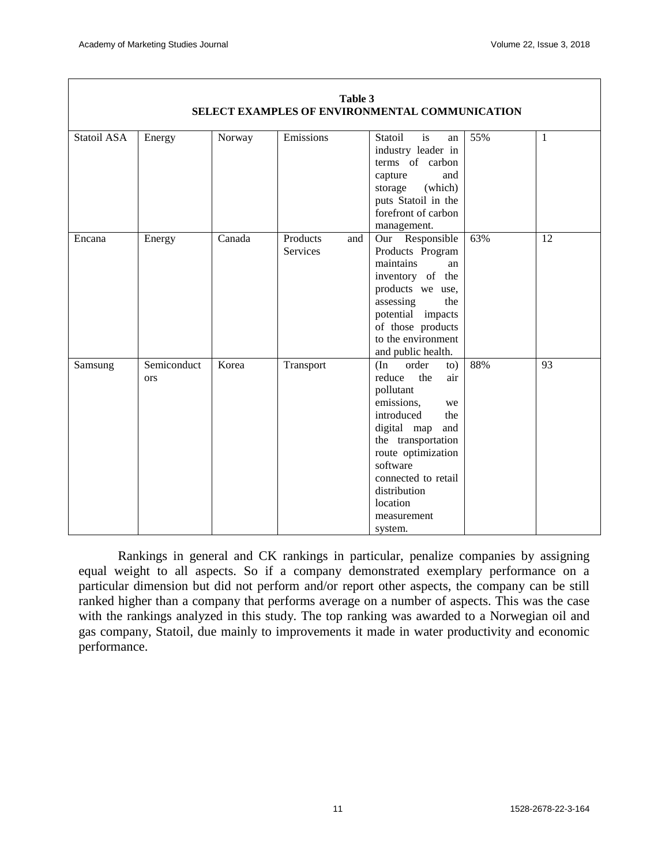| Statoil ASA | Energy             | Norway | Emissions                          | Statoil<br>is<br>an<br>industry leader in<br>terms of carbon<br>capture<br>and<br>storage<br>(which)<br>puts Statoil in the<br>forefront of carbon<br>management.                                                                                            | 55% | $\mathbf{1}$ |
|-------------|--------------------|--------|------------------------------------|--------------------------------------------------------------------------------------------------------------------------------------------------------------------------------------------------------------------------------------------------------------|-----|--------------|
| Encana      | Energy             | Canada | Products<br>and<br><b>Services</b> | Our Responsible<br>Products Program<br>maintains<br>an<br>inventory of the<br>products we use,<br>assessing<br>the<br>potential impacts<br>of those products<br>to the environment<br>and public health.                                                     | 63% | 12           |
| Samsung     | Semiconduct<br>ors | Korea  | Transport                          | order<br>(In<br>to)<br>reduce<br>the<br>air<br>pollutant<br>emissions,<br>we<br>introduced<br>the<br>digital map<br>and<br>the transportation<br>route optimization<br>software<br>connected to retail<br>distribution<br>location<br>measurement<br>system. | 88% | 93           |

#### **Table 3 SELECT EXAMPLES OF ENVIRONMENTAL COMMUNICATION**

Rankings in general and CK rankings in particular, penalize companies by assigning equal weight to all aspects. So if a company demonstrated exemplary performance on a particular dimension but did not perform and/or report other aspects, the company can be still ranked higher than a company that performs average on a number of aspects. This was the case with the rankings analyzed in this study. The top ranking was awarded to a Norwegian oil and gas company, Statoil, due mainly to improvements it made in water productivity and economic performance.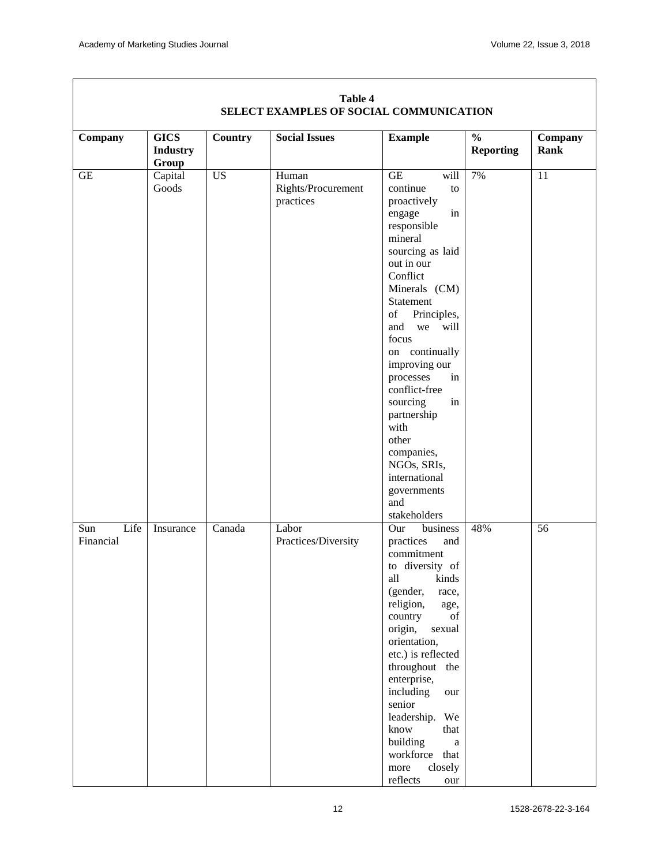| Company                  | <b>GICS</b>               | Country   | <b>Social Issues</b>                     | <b>Example</b>                                                                                                                                                                                                                                                                                                                                                                                 | $\frac{0}{0}$    | Company         |
|--------------------------|---------------------------|-----------|------------------------------------------|------------------------------------------------------------------------------------------------------------------------------------------------------------------------------------------------------------------------------------------------------------------------------------------------------------------------------------------------------------------------------------------------|------------------|-----------------|
|                          | <b>Industry</b>           |           |                                          |                                                                                                                                                                                                                                                                                                                                                                                                | <b>Reporting</b> | <b>Rank</b>     |
|                          |                           |           |                                          |                                                                                                                                                                                                                                                                                                                                                                                                |                  |                 |
| $\operatorname{GE}$      | Group<br>Capital<br>Goods | <b>US</b> | Human<br>Rights/Procurement<br>practices | $\operatorname{GE}$<br>will<br>continue<br>to<br>proactively<br>in<br>engage<br>responsible<br>mineral<br>sourcing as laid<br>out in our<br>Conflict<br>Minerals (CM)<br>Statement<br>of<br>Principles,<br>and<br>we<br>will<br>focus<br>on continually<br>improving our<br>processes<br>in<br>conflict-free<br>sourcing<br>in<br>partnership<br>with<br>other<br>companies,                   | 7%               | $\overline{11}$ |
|                          |                           |           |                                          | NGOs, SRIs,<br>international<br>governments<br>and<br>stakeholders                                                                                                                                                                                                                                                                                                                             |                  |                 |
| Life<br>Sun<br>Financial | Insurance                 | Canada    | Labor<br>Practices/Diversity             | Our<br>business<br>practices<br>and<br>commitment<br>to diversity of<br>all<br>kinds<br>(gender,<br>race,<br>religion,<br>age,<br>of<br>country<br>origin,<br>sexual<br>orientation,<br>etc.) is reflected<br>throughout the<br>enterprise,<br>including<br>our<br>senior<br>leadership.<br>We<br>know<br>that<br>building<br>$\rm{a}$<br>workforce that<br>closely<br>more<br>reflects<br>our | 48%              | $\overline{56}$ |

#### **Table 4 SELECT EXAMPLES OF SOCIAL COMMUNICATION**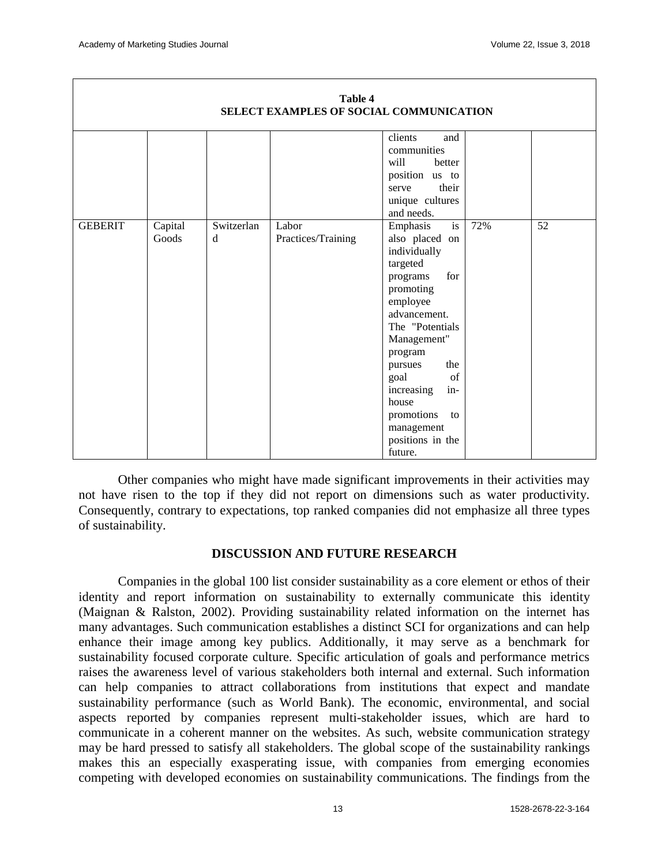| Table 4<br>SELECT EXAMPLES OF SOCIAL COMMUNICATION |                  |                 |                             |                                                                                                                                                                                                                                                                                                      |     |    |  |  |
|----------------------------------------------------|------------------|-----------------|-----------------------------|------------------------------------------------------------------------------------------------------------------------------------------------------------------------------------------------------------------------------------------------------------------------------------------------------|-----|----|--|--|
|                                                    |                  |                 |                             | clients<br>and<br>communities<br>will<br>better<br>position us to<br>their<br>serve<br>unique cultures<br>and needs.                                                                                                                                                                                 |     |    |  |  |
| <b>GEBERIT</b>                                     | Capital<br>Goods | Switzerlan<br>d | Labor<br>Practices/Training | is<br>Emphasis<br>also placed on<br>individually<br>targeted<br>for<br>programs<br>promoting<br>employee<br>advancement.<br>The "Potentials<br>Management"<br>program<br>the<br>pursues<br>of<br>goal<br>in-<br>increasing<br>house<br>promotions<br>to<br>management<br>positions in the<br>future. | 72% | 52 |  |  |

Other companies who might have made significant improvements in their activities may not have risen to the top if they did not report on dimensions such as water productivity. Consequently, contrary to expectations, top ranked companies did not emphasize all three types of sustainability.

## **DISCUSSION AND FUTURE RESEARCH**

Companies in the global 100 list consider sustainability as a core element or ethos of their identity and report information on sustainability to externally communicate this identity (Maignan & Ralston, 2002). Providing sustainability related information on the internet has many advantages. Such communication establishes a distinct SCI for organizations and can help enhance their image among key publics. Additionally, it may serve as a benchmark for sustainability focused corporate culture. Specific articulation of goals and performance metrics raises the awareness level of various stakeholders both internal and external. Such information can help companies to attract collaborations from institutions that expect and mandate sustainability performance (such as World Bank). The economic, environmental, and social aspects reported by companies represent multi-stakeholder issues, which are hard to communicate in a coherent manner on the websites. As such, website communication strategy may be hard pressed to satisfy all stakeholders. The global scope of the sustainability rankings makes this an especially exasperating issue, with companies from emerging economies competing with developed economies on sustainability communications. The findings from the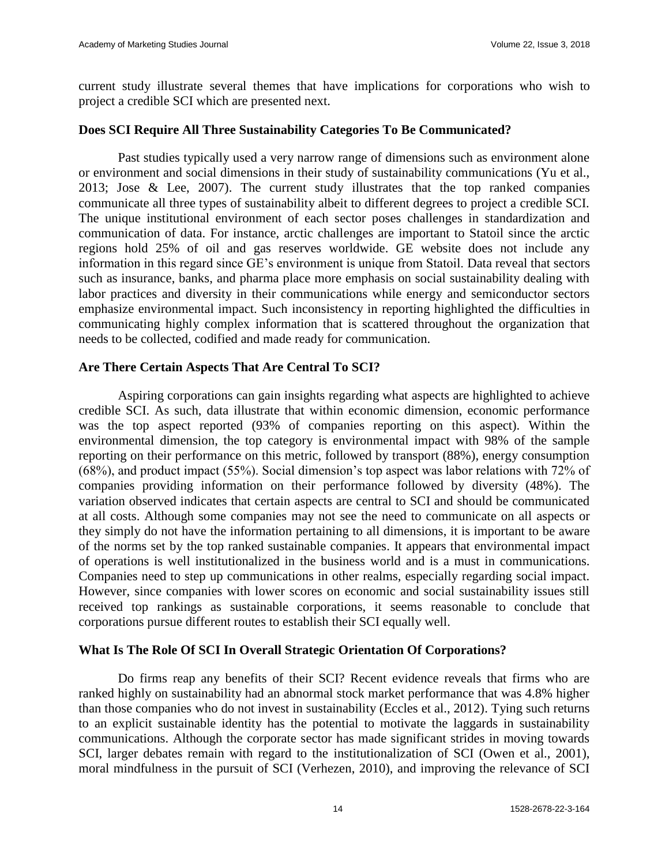current study illustrate several themes that have implications for corporations who wish to project a credible SCI which are presented next.

## **Does SCI Require All Three Sustainability Categories To Be Communicated?**

Past studies typically used a very narrow range of dimensions such as environment alone or environment and social dimensions in their study of sustainability communications (Yu et al., 2013; Jose & Lee, 2007). The current study illustrates that the top ranked companies communicate all three types of sustainability albeit to different degrees to project a credible SCI. The unique institutional environment of each sector poses challenges in standardization and communication of data. For instance, arctic challenges are important to Statoil since the arctic regions hold 25% of oil and gas reserves worldwide. GE website does not include any information in this regard since GE's environment is unique from Statoil. Data reveal that sectors such as insurance, banks, and pharma place more emphasis on social sustainability dealing with labor practices and diversity in their communications while energy and semiconductor sectors emphasize environmental impact. Such inconsistency in reporting highlighted the difficulties in communicating highly complex information that is scattered throughout the organization that needs to be collected, codified and made ready for communication.

### **Are There Certain Aspects That Are Central To SCI?**

Aspiring corporations can gain insights regarding what aspects are highlighted to achieve credible SCI. As such, data illustrate that within economic dimension, economic performance was the top aspect reported (93% of companies reporting on this aspect). Within the environmental dimension, the top category is environmental impact with 98% of the sample reporting on their performance on this metric, followed by transport (88%), energy consumption (68%), and product impact (55%). Social dimension's top aspect was labor relations with 72% of companies providing information on their performance followed by diversity (48%). The variation observed indicates that certain aspects are central to SCI and should be communicated at all costs. Although some companies may not see the need to communicate on all aspects or they simply do not have the information pertaining to all dimensions, it is important to be aware of the norms set by the top ranked sustainable companies. It appears that environmental impact of operations is well institutionalized in the business world and is a must in communications. Companies need to step up communications in other realms, especially regarding social impact. However, since companies with lower scores on economic and social sustainability issues still received top rankings as sustainable corporations, it seems reasonable to conclude that corporations pursue different routes to establish their SCI equally well.

#### **What Is The Role Of SCI In Overall Strategic Orientation Of Corporations?**

Do firms reap any benefits of their SCI? Recent evidence reveals that firms who are ranked highly on sustainability had an abnormal stock market performance that was 4.8% higher than those companies who do not invest in sustainability (Eccles et al., 2012). Tying such returns to an explicit sustainable identity has the potential to motivate the laggards in sustainability communications. Although the corporate sector has made significant strides in moving towards SCI, larger debates remain with regard to the institutionalization of SCI (Owen et al., 2001), moral mindfulness in the pursuit of SCI (Verhezen, 2010), and improving the relevance of SCI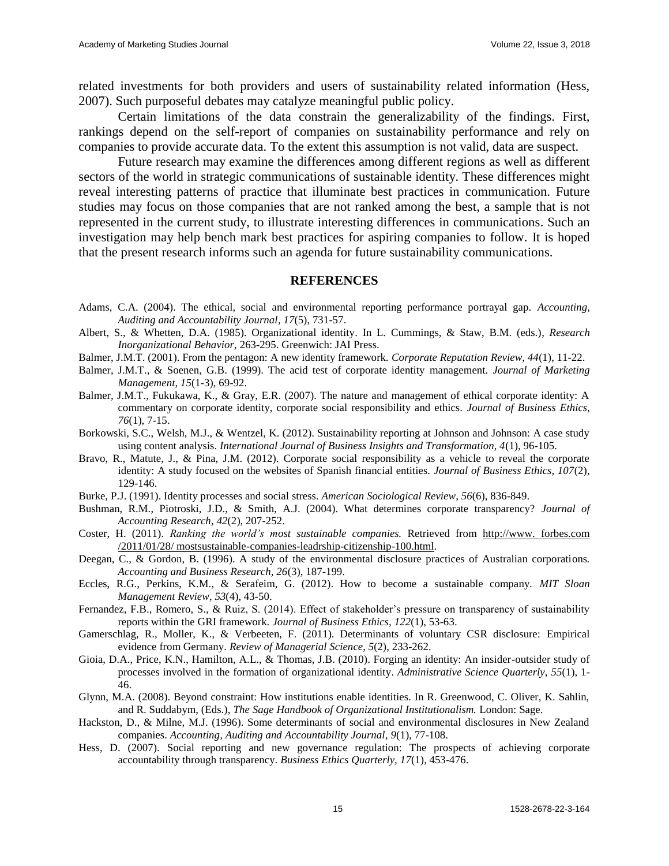related investments for both providers and users of sustainability related information (Hess, 2007). Such purposeful debates may catalyze meaningful public policy.

Certain limitations of the data constrain the generalizability of the findings. First, rankings depend on the self-report of companies on sustainability performance and rely on companies to provide accurate data. To the extent this assumption is not valid, data are suspect.

Future research may examine the differences among different regions as well as different sectors of the world in strategic communications of sustainable identity. These differences might reveal interesting patterns of practice that illuminate best practices in communication. Future studies may focus on those companies that are not ranked among the best, a sample that is not represented in the current study, to illustrate interesting differences in communications. Such an investigation may help bench mark best practices for aspiring companies to follow. It is hoped that the present research informs such an agenda for future sustainability communications.

#### **REFERENCES**

- Adams, C.A. (2004). The ethical, social and environmental reporting performance portrayal gap. *Accounting, Auditing and Accountability Journal*, *17*(5), 731-57.
- Albert, S., & Whetten, D.A. (1985). Organizational identity. In L. Cummings, & Staw, B.M. (eds.), *Research Inorganizational Behavior,* 263-295. Greenwich: JAI Press.
- Balmer, J.M.T. (2001). From the pentagon: A new identity framework. *Corporate Reputation Review, 44*(1), 11-22.
- Balmer, J.M.T., & Soenen, G.B. (1999). The acid test of corporate identity management. *Journal of Marketing Management*, *15*(1-3), 69-92.
- Balmer, J.M.T., Fukukawa, K., & Gray, E.R. (2007). The nature and management of ethical corporate identity: A commentary on corporate identity, corporate social responsibility and ethics. *Journal of Business Ethics*, *76*(1), 7-15.
- Borkowski, S.C., Welsh, M.J., & Wentzel, K. (2012). Sustainability reporting at Johnson and Johnson: A case study using content analysis. *International Journal of Business Insights and Transformation, 4*(1), 96-105.
- Bravo, R., Matute, J., & Pina, J.M. (2012). Corporate social responsibility as a vehicle to reveal the corporate identity: A study focused on the websites of Spanish financial entities. *Journal of Business Ethics, 107*(2), 129-146.
- Burke, P.J. (1991). Identity processes and social stress. *American Sociological Review*, *56*(6), 836-849.
- Bushman, R.M., Piotroski, J.D., & Smith, A.J. (2004). What determines corporate transparency? *Journal of Accounting Research*, *42*(2), 207-252.
- Coster, H. (2011). *Ranking the world's most sustainable companies.* Retrieved from http://www. forbes.com /2011/01/28/ mostsustainable-companies-leadrship-citizenship-100.html.
- Deegan, C., & Gordon, B. (1996). A study of the environmental disclosure practices of Australian corporations*. Accounting and Business Research, 26*(3), 187-199.
- Eccles, R.G., Perkins, K.M., & Serafeim, G. (2012). How to become a sustainable company. *MIT Sloan Management Review*, *53*(4), 43-50.
- Fernandez, F.B., Romero, S., & Ruiz, S. (2014). Effect of stakeholder's pressure on transparency of sustainability reports within the GRI framework. *Journal of Business Ethics, 122*(1), 53-63.
- Gamerschlag, R., Moller, K., & Verbeeten, F. (2011). Determinants of voluntary CSR disclosure: Empirical evidence from Germany. *Review of Managerial Science*, *5*(2), 233-262.
- Gioia, D.A., Price, K.N., Hamilton, A.L., & Thomas, J.B. (2010). Forging an identity: An insider-outsider study of processes involved in the formation of organizational identity. *Administrative Science Quarterly*, *55*(1), 1- 46.
- Glynn, M.A. (2008). Beyond constraint: How institutions enable identities. In R. Greenwood, C. Oliver, K. Sahlin, and R. Suddabym, (Eds.), *The Sage Handbook of Organizational Institutionalism.* London: Sage.
- Hackston, D., & Milne, M.J. (1996). Some determinants of social and environmental disclosures in New Zealand companies. *Accounting, Auditing and Accountability Journal*, *9*(1), 77-108.
- Hess, D. (2007). Social reporting and new governance regulation: The prospects of achieving corporate accountability through transparency. *Business Ethics Quarterly, 17*(1), 453-476.